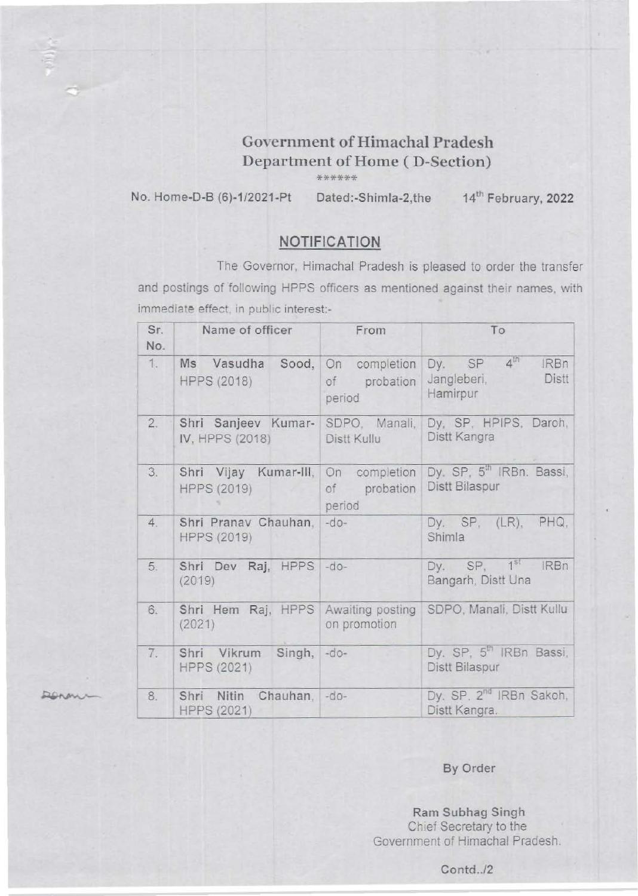## **Goye rnment** of Himachal **Pradesh Depa t'tmcnt** of Home **(D-Section) \*\*\*\*\*\***

No. Home-D-B (6)-1/2021-Pt Dated:-Shimla-2,the 14<sup>th</sup> February, 2022

Denni

## **NOTIFICATION**

The Governor, Himachal Pradesh is pleased to order the transfer **and postings of following HPPS officers as mentioned against their names, with immediate effect. in public interest:-**

| Sr.<br>No. | Name of officer                                           | From                                          | To                                                                           |
|------------|-----------------------------------------------------------|-----------------------------------------------|------------------------------------------------------------------------------|
| 1.         | Ms Vasudha<br><b>HPPS (2018)</b>                          | Sood, On completion<br>of probation<br>period | $4^{\text{in}}$<br><b>IRBn</b><br>Dy. SP<br>Jangleberi,<br>Distt<br>Hamirpur |
| 2.         | Shri Sanjeev Kumar- SDPO, Manali,<br>IV, HPPS (2018)      | Distt Kullu                                   | Dy, SP, HPIPS, Daroh,<br>Distt Kangra                                        |
| 3.         | Shri Vijay Kumar-III, On completion<br><b>HPPS (2019)</b> | of probation<br>period                        | Dy. SP, 5 <sup>th</sup> IRBn. Bassi,<br>Distt Bilaspur                       |
| 4.         | Shri Pranav Chauhan,<br><b>HPPS (2019)</b>                | $-do-$                                        | Dy. $SP, (LR),$<br>PHQ,<br>Shimla                                            |
| 5.         | Shri Dev Raj, HPPS<br>(2019)                              | $-do-$                                        | Dy. SP, 1 <sup>st</sup> IRBn<br>Bangarh, Distt Una                           |
| 6.         | Shri Hem Raj, HPPS Awaiting posting<br>(2021)             | on promotion                                  | SDPO, Manali, Distt Kullu                                                    |
| 7.         | Singh, -do-<br>Shri Vikrum<br><b>HPPS (2021)</b>          |                                               | Dy. SP, 5 <sup>th</sup> IRBn Bassi,<br>Distt Bilaspur                        |
| 8.         | Shri Nitin Chauhan, -do-<br><b>HPPS (2021)</b>            |                                               | Dy. SP. 2 <sup>nd</sup> IRBn Sakoh,<br>Distt Kangra.                         |

By Order

Ram Subhag Singh Chief Secretary to the Government of Himachal Pradesh.

Contd../2